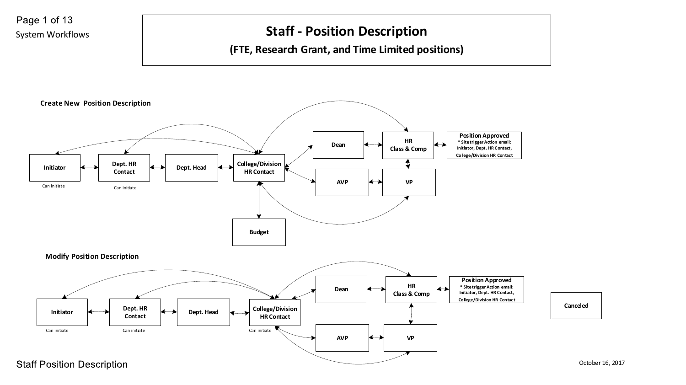

**Staff Position Description**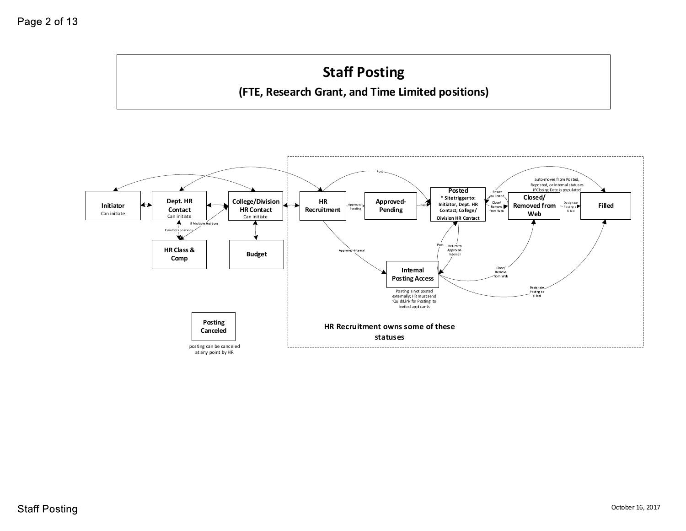# **Staff Posting**

**(FTE, Research Grant, and Time Limited positions)**

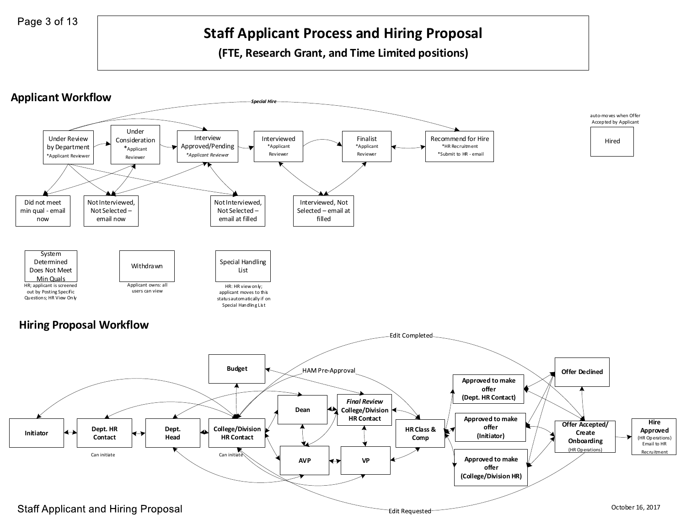## **Staff Applicant Process and Hiring Proposal**

**(FTE, Research Grant, and Time Limited positions)**

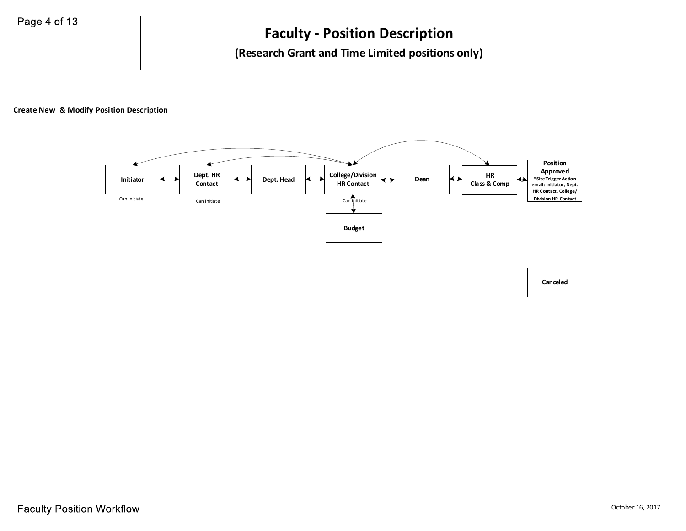## **Faculty - Position Description**

#### **(Research Grant and Time Limited positions only)**

**Create New & Modify Position Description**



**Canceled**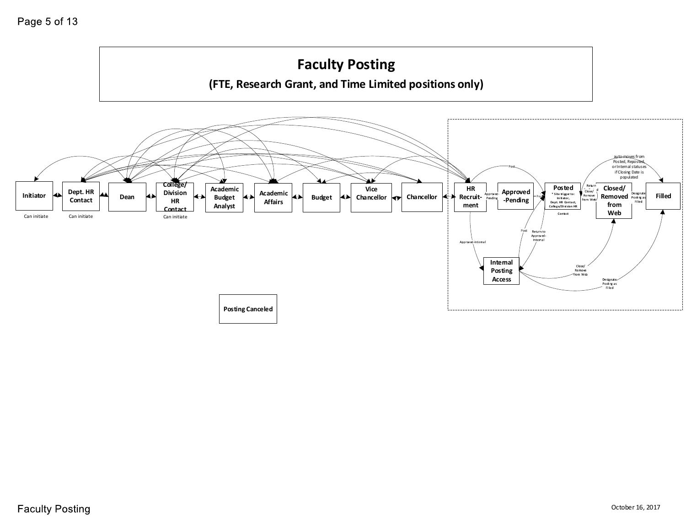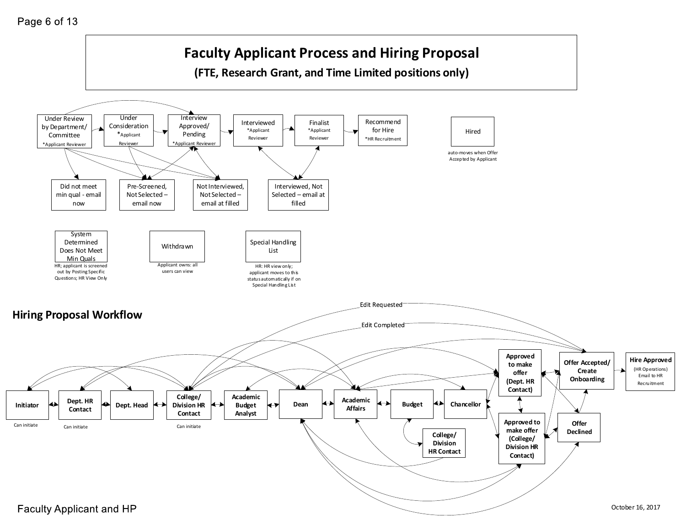#### Page 6 of 13

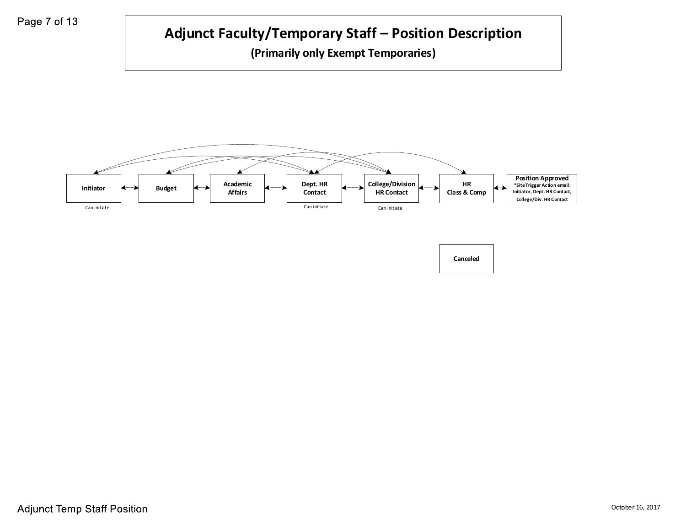



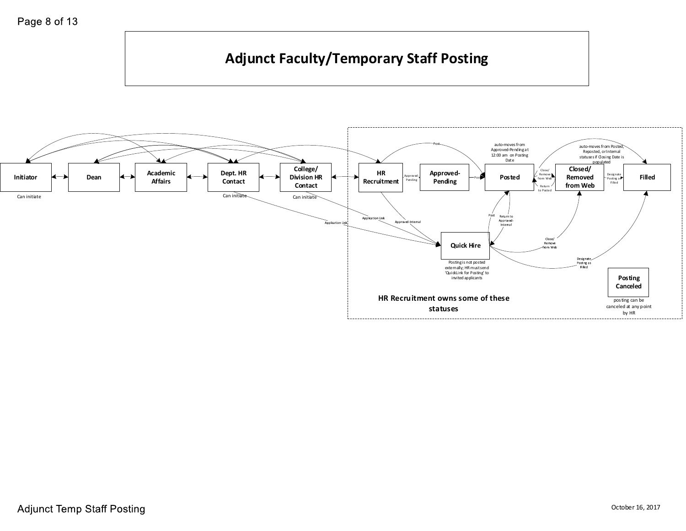## **Adjunct Faculty/Temporary Staff Posting**

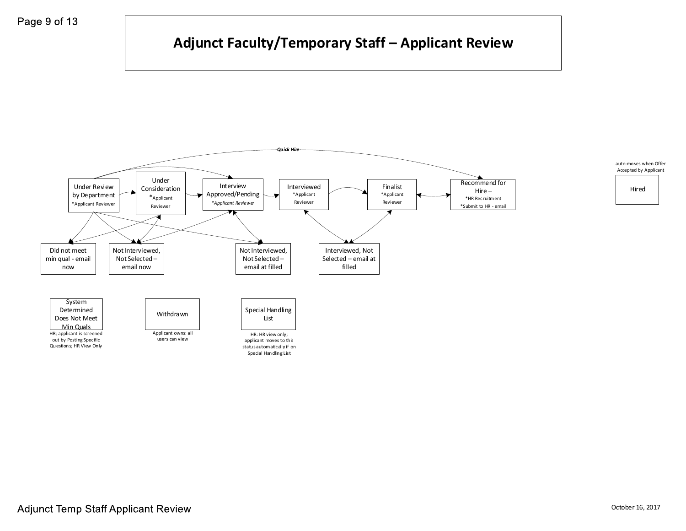## **Adjunct Faculty/Temporary Staff – Applicant Review**

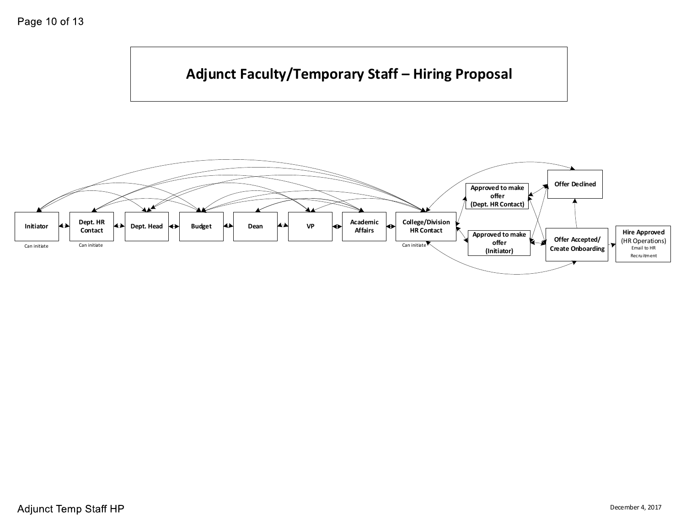



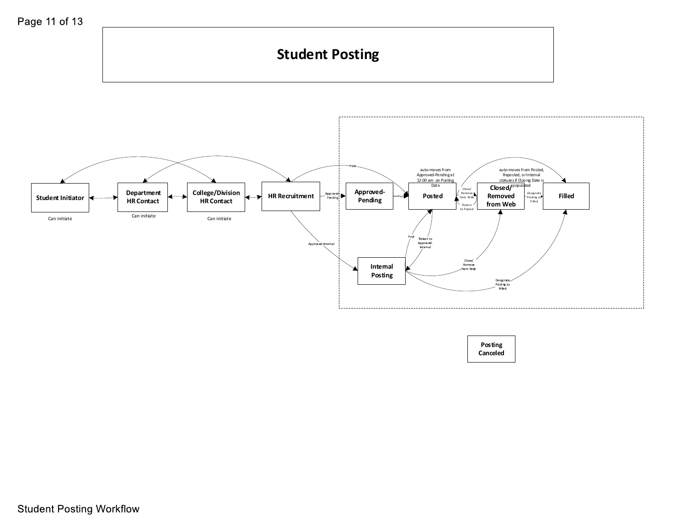#### **Student Posting** auto-moves from auto-moves from Posted, Approved-Pending at Reposted, or Internal 12:00 am on Posting statuses if Closing Date is<br>**Close d/** P<sup>opula</sup>ted Date **College/Division**  Close, Approved<sub>Posted</sub>
Posted **Department**   $-\frac{Approwed}{Pending}$ **HR Recruitment** Remove from Web Desig nate Posti ng a s Fi lled **Filled Removed Student Initiator** Post **HR Contact HR Contact Pending from Web** Return to Posted Can initiate Can initiate Can initiate /<br>Return to<br>Approved<br>Internal Approved-Internal Close/<br>Remove<br>-from Web **Internal Posting**  Designate<br>Posting as<br>Filled

**Posting Canceled**

**Student Posting Workflow**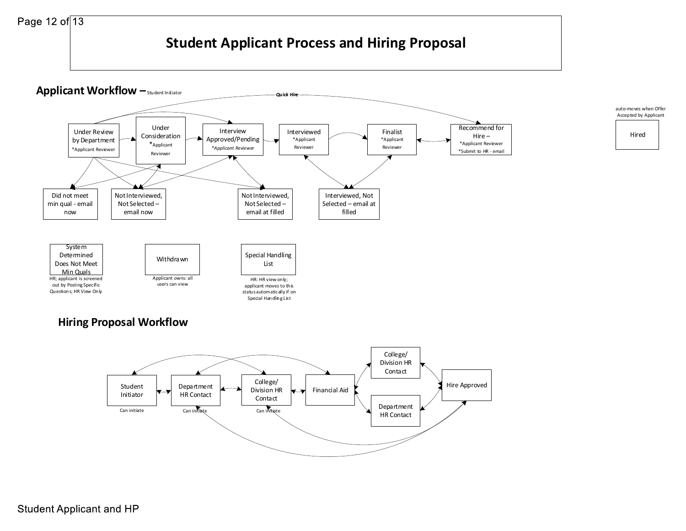### **Student Applicant Process and Hiring Proposal**

**Quick Hin** 

Hired

auto-moves when Offer Accepted by Applicant

**Applicant Workflow**  $-$ Student Initiator



#### **Hiring Proposal Workflow**